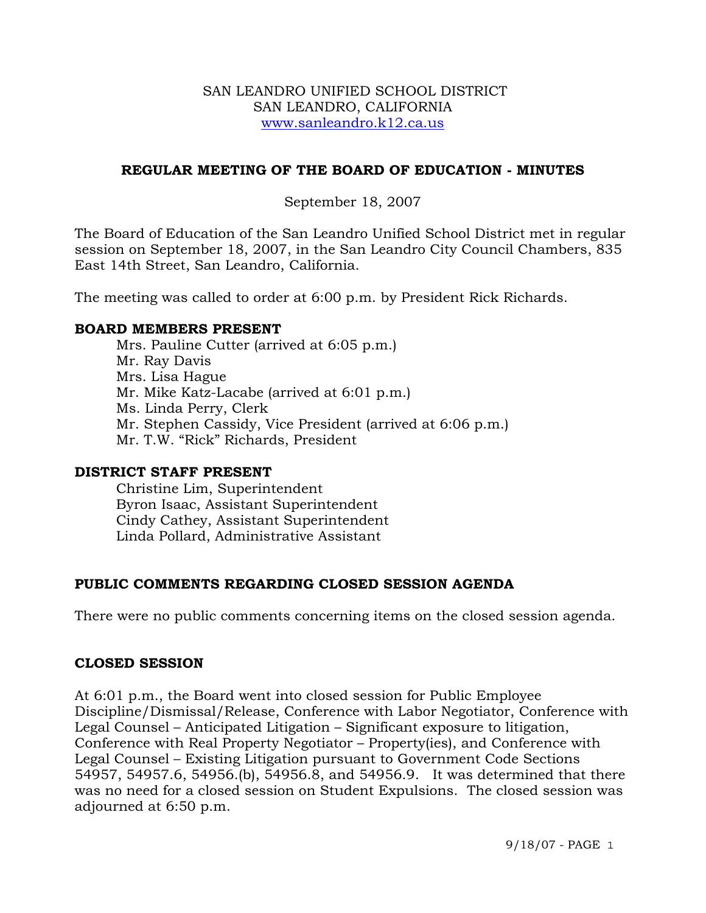### SAN LEANDRO UNIFIED SCHOOL DISTRICT SAN LEANDRO, CALIFORNIA www.sanleandro.k12.ca.us

# **REGULAR MEETING OF THE BOARD OF EDUCATION - MINUTES**

# September 18, 2007

The Board of Education of the San Leandro Unified School District met in regular session on September 18, 2007, in the San Leandro City Council Chambers, 835 East 14th Street, San Leandro, California.

The meeting was called to order at 6:00 p.m. by President Rick Richards.

#### **BOARD MEMBERS PRESENT**

Mrs. Pauline Cutter (arrived at 6:05 p.m.) Mr. Ray Davis Mrs. Lisa Hague Mr. Mike Katz-Lacabe (arrived at 6:01 p.m.) Ms. Linda Perry, Clerk Mr. Stephen Cassidy, Vice President (arrived at 6:06 p.m.) Mr. T.W. "Rick" Richards, President

#### **DISTRICT STAFF PRESENT**

Christine Lim, Superintendent Byron Isaac, Assistant Superintendent Cindy Cathey, Assistant Superintendent Linda Pollard, Administrative Assistant

#### **PUBLIC COMMENTS REGARDING CLOSED SESSION AGENDA**

There were no public comments concerning items on the closed session agenda.

#### **CLOSED SESSION**

At 6:01 p.m., the Board went into closed session for Public Employee Discipline/Dismissal/Release, Conference with Labor Negotiator, Conference with Legal Counsel – Anticipated Litigation – Significant exposure to litigation, Conference with Real Property Negotiator – Property(ies), and Conference with Legal Counsel – Existing Litigation pursuant to Government Code Sections 54957, 54957.6, 54956.(b), 54956.8, and 54956.9. It was determined that there was no need for a closed session on Student Expulsions. The closed session was adjourned at 6:50 p.m.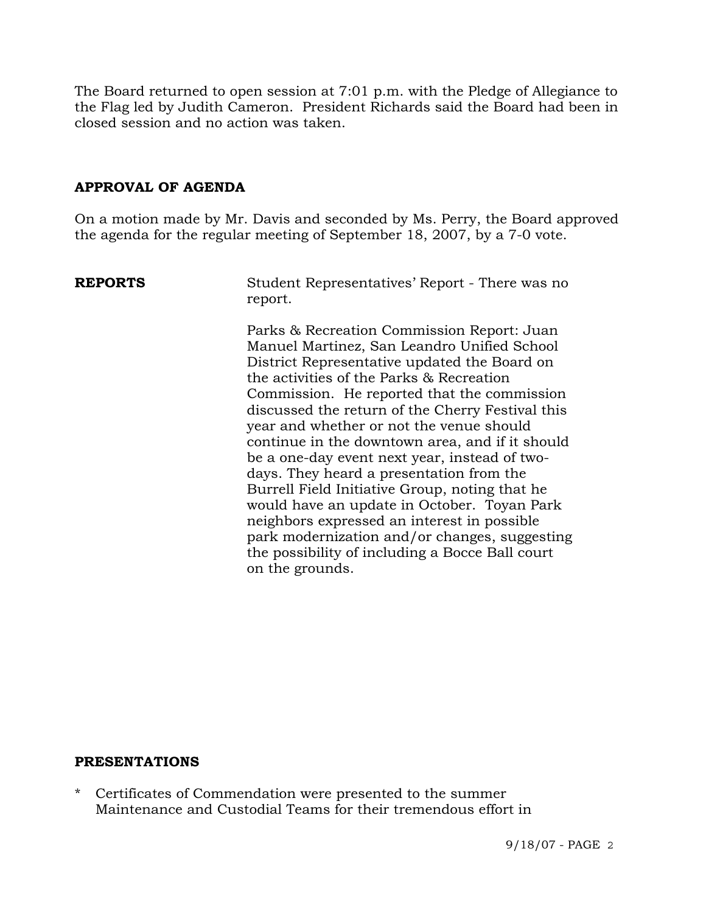The Board returned to open session at 7:01 p.m. with the Pledge of Allegiance to the Flag led by Judith Cameron. President Richards said the Board had been in closed session and no action was taken.

# **APPROVAL OF AGENDA**

On a motion made by Mr. Davis and seconded by Ms. Perry, the Board approved the agenda for the regular meeting of September 18, 2007, by a 7-0 vote.

**REPORTS** Student Representatives' Report - There was no report.

> Parks & Recreation Commission Report: Juan Manuel Martinez, San Leandro Unified School District Representative updated the Board on the activities of the Parks & Recreation Commission. He reported that the commission discussed the return of the Cherry Festival this year and whether or not the venue should continue in the downtown area, and if it should be a one-day event next year, instead of twodays. They heard a presentation from the Burrell Field Initiative Group, noting that he would have an update in October. Toyan Park neighbors expressed an interest in possible park modernization and/or changes, suggesting the possibility of including a Bocce Ball court on the grounds.

#### **PRESENTATIONS**

Certificates of Commendation were presented to the summer Maintenance and Custodial Teams for their tremendous effort in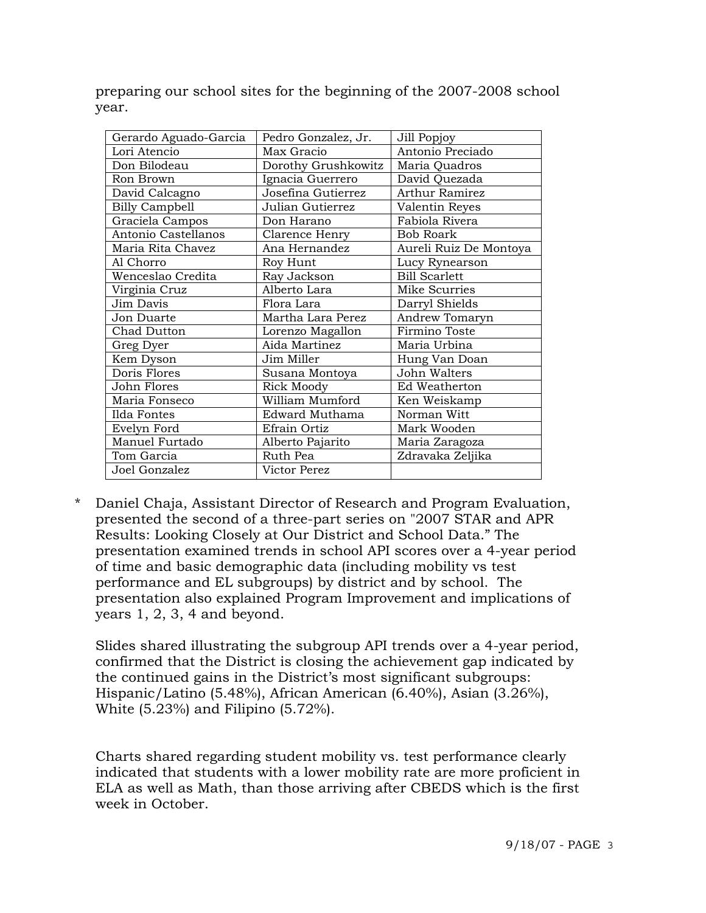preparing our school sites for the beginning of the 2007-2008 school year.

| Gerardo Aguado-Garcia | Pedro Gonzalez, Jr. | Jill Popjoy            |
|-----------------------|---------------------|------------------------|
| Lori Atencio          | Max Gracio          | Antonio Preciado       |
| Don Bilodeau          | Dorothy Grushkowitz | Maria Quadros          |
| Ron Brown             | Ignacia Guerrero    | David Quezada          |
| David Calcagno        | Josefina Gutierrez  | <b>Arthur Ramirez</b>  |
| <b>Billy Campbell</b> | Julian Gutierrez    | Valentin Reyes         |
| Graciela Campos       | Don Harano          | Fabiola Rivera         |
| Antonio Castellanos   | Clarence Henry      | <b>Bob Roark</b>       |
| Maria Rita Chavez     | Ana Hernandez       | Aureli Ruiz De Montoya |
| Al Chorro             | Roy Hunt            | Lucy Rynearson         |
| Wenceslao Credita     | Ray Jackson         | <b>Bill Scarlett</b>   |
| Virginia Cruz         | Alberto Lara        | Mike Scurries          |
| Jim Davis             | Flora Lara          | Darryl Shields         |
| Jon Duarte            | Martha Lara Perez   | Andrew Tomaryn         |
| Chad Dutton           | Lorenzo Magallon    | Firmino Toste          |
| Greg Dyer             | Aida Martinez       | Maria Urbina           |
| Kem Dyson             | Jim Miller          | Hung Van Doan          |
| Doris Flores          | Susana Montoya      | John Walters           |
| John Flores           | <b>Rick Moody</b>   | Ed Weatherton          |
| Maria Fonseco         | William Mumford     | Ken Weiskamp           |
| Ilda Fontes           | Edward Muthama      | Norman Witt            |
| Evelyn Ford           | Efrain Ortiz        | Mark Wooden            |
| Manuel Furtado        | Alberto Pajarito    | Maria Zaragoza         |
| Tom Garcia            | Ruth Pea            | Zdravaka Zeljika       |
| Joel Gonzalez         | Victor Perez        |                        |

\* Daniel Chaja, Assistant Director of Research and Program Evaluation, presented the second of a three-part series on "2007 STAR and APR Results: Looking Closely at Our District and School Data." The presentation examined trends in school API scores over a 4-year period of time and basic demographic data (including mobility vs test performance and EL subgroups) by district and by school. The presentation also explained Program Improvement and implications of years 1, 2, 3, 4 and beyond.

 Slides shared illustrating the subgroup API trends over a 4-year period, confirmed that the District is closing the achievement gap indicated by the continued gains in the District's most significant subgroups: Hispanic/Latino (5.48%), African American (6.40%), Asian (3.26%), White (5.23%) and Filipino (5.72%).

 Charts shared regarding student mobility vs. test performance clearly indicated that students with a lower mobility rate are more proficient in ELA as well as Math, than those arriving after CBEDS which is the first week in October.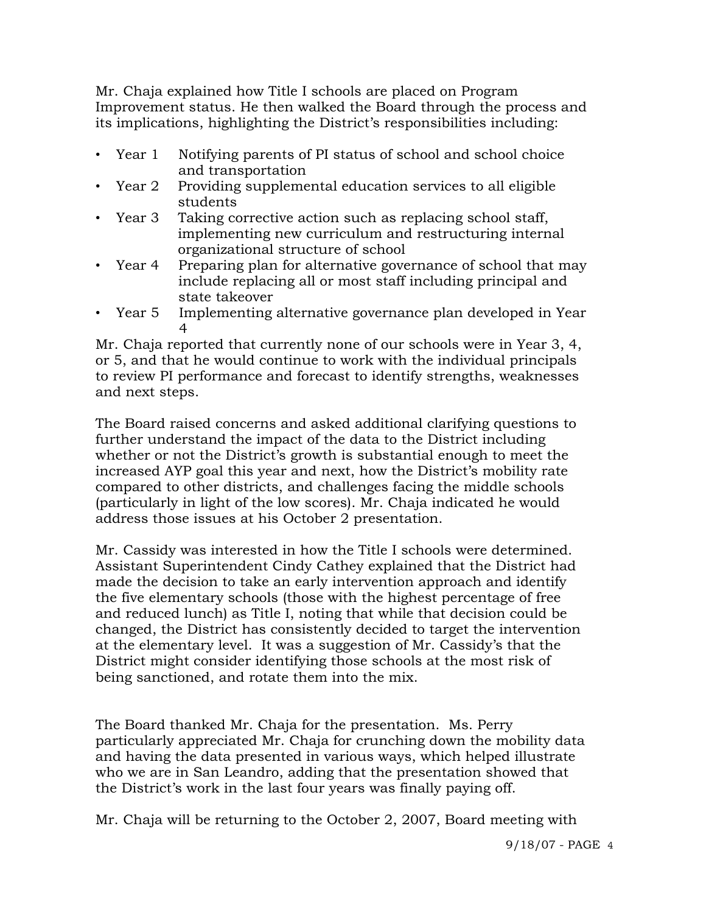Mr. Chaja explained how Title I schools are placed on Program Improvement status. He then walked the Board through the process and its implications, highlighting the District's responsibilities including:

- Year 1 Notifying parents of PI status of school and school choice and transportation
- Year 2 Providing supplemental education services to all eligible students
- Year 3 Taking corrective action such as replacing school staff, implementing new curriculum and restructuring internal organizational structure of school
- Year 4 Preparing plan for alternative governance of school that may include replacing all or most staff including principal and state takeover
- Year 5 Implementing alternative governance plan developed in Year 4

Mr. Chaja reported that currently none of our schools were in Year 3, 4, or 5, and that he would continue to work with the individual principals to review PI performance and forecast to identify strengths, weaknesses and next steps.

 The Board raised concerns and asked additional clarifying questions to further understand the impact of the data to the District including whether or not the District's growth is substantial enough to meet the increased AYP goal this year and next, how the District's mobility rate compared to other districts, and challenges facing the middle schools (particularly in light of the low scores). Mr. Chaja indicated he would address those issues at his October 2 presentation.

 Mr. Cassidy was interested in how the Title I schools were determined. Assistant Superintendent Cindy Cathey explained that the District had made the decision to take an early intervention approach and identify the five elementary schools (those with the highest percentage of free and reduced lunch) as Title I, noting that while that decision could be changed, the District has consistently decided to target the intervention at the elementary level. It was a suggestion of Mr. Cassidy's that the District might consider identifying those schools at the most risk of being sanctioned, and rotate them into the mix.

 The Board thanked Mr. Chaja for the presentation. Ms. Perry particularly appreciated Mr. Chaja for crunching down the mobility data and having the data presented in various ways, which helped illustrate who we are in San Leandro, adding that the presentation showed that the District's work in the last four years was finally paying off.

Mr. Chaja will be returning to the October 2, 2007, Board meeting with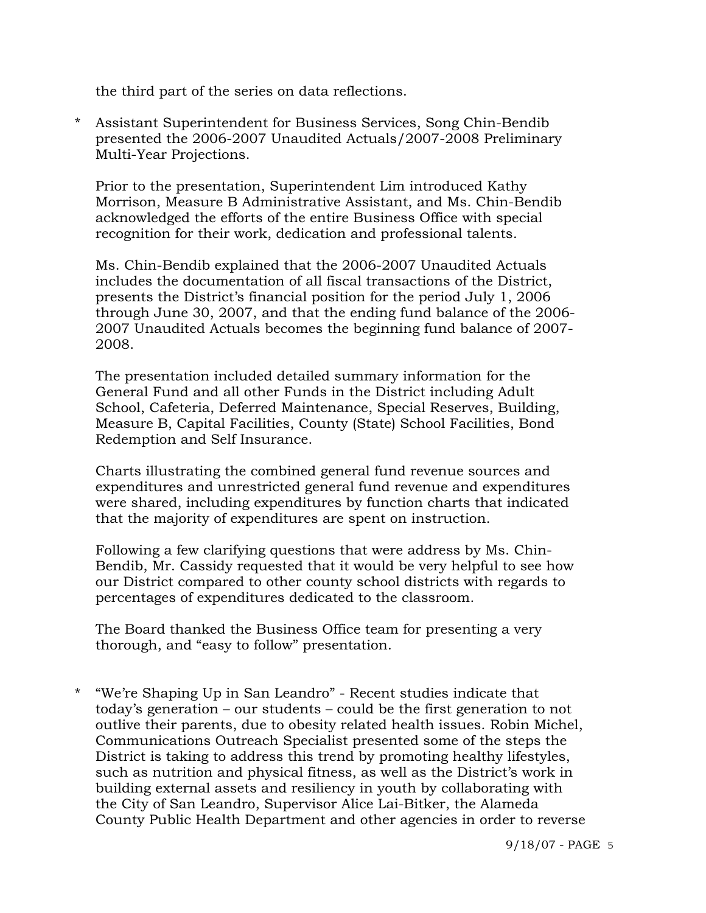the third part of the series on data reflections.

\* Assistant Superintendent for Business Services, Song Chin-Bendib presented the 2006-2007 Unaudited Actuals/2007-2008 Preliminary Multi-Year Projections.

 Prior to the presentation, Superintendent Lim introduced Kathy Morrison, Measure B Administrative Assistant, and Ms. Chin-Bendib acknowledged the efforts of the entire Business Office with special recognition for their work, dedication and professional talents.

 Ms. Chin-Bendib explained that the 2006-2007 Unaudited Actuals includes the documentation of all fiscal transactions of the District, presents the District's financial position for the period July 1, 2006 through June 30, 2007, and that the ending fund balance of the 2006- 2007 Unaudited Actuals becomes the beginning fund balance of 2007- 2008.

 The presentation included detailed summary information for the General Fund and all other Funds in the District including Adult School, Cafeteria, Deferred Maintenance, Special Reserves, Building, Measure B, Capital Facilities, County (State) School Facilities, Bond Redemption and Self Insurance.

 Charts illustrating the combined general fund revenue sources and expenditures and unrestricted general fund revenue and expenditures were shared, including expenditures by function charts that indicated that the majority of expenditures are spent on instruction.

 Following a few clarifying questions that were address by Ms. Chin- Bendib, Mr. Cassidy requested that it would be very helpful to see how our District compared to other county school districts with regards to percentages of expenditures dedicated to the classroom.

 The Board thanked the Business Office team for presenting a very thorough, and "easy to follow" presentation.

\* "We're Shaping Up in San Leandro" - Recent studies indicate that today's generation – our students – could be the first generation to not outlive their parents, due to obesity related health issues. Robin Michel, Communications Outreach Specialist presented some of the steps the District is taking to address this trend by promoting healthy lifestyles, such as nutrition and physical fitness, as well as the District's work in building external assets and resiliency in youth by collaborating with the City of San Leandro, Supervisor Alice Lai-Bitker, the Alameda County Public Health Department and other agencies in order to reverse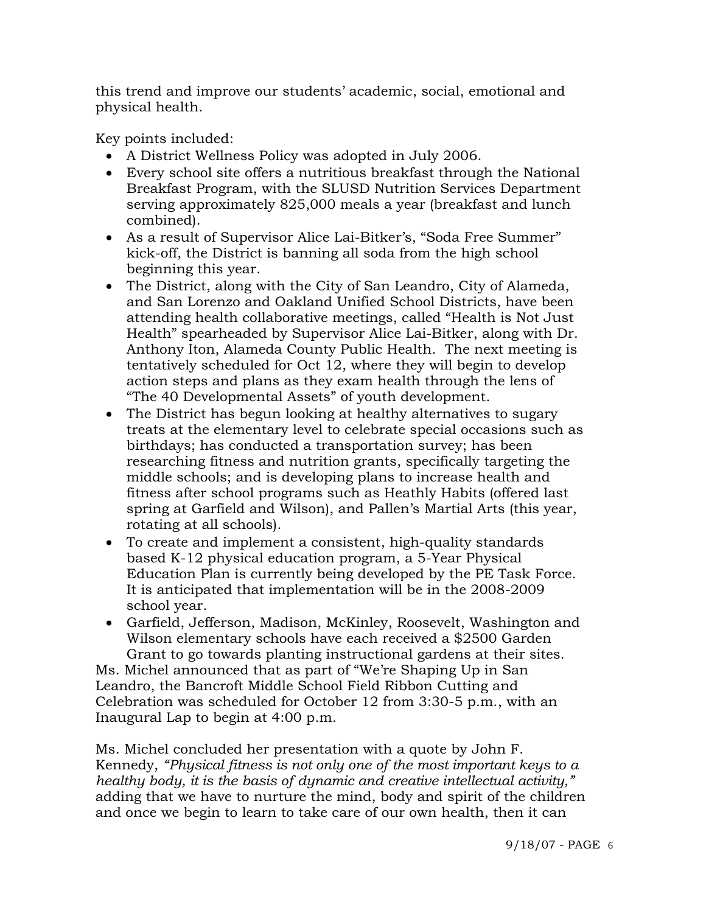this trend and improve our students' academic, social, emotional and physical health.

Key points included:

- A District Wellness Policy was adopted in July 2006.
- Every school site offers a nutritious breakfast through the National Breakfast Program, with the SLUSD Nutrition Services Department serving approximately 825,000 meals a year (breakfast and lunch combined).
- As a result of Supervisor Alice Lai-Bitker's, "Soda Free Summer" kick-off, the District is banning all soda from the high school beginning this year.
- The District, along with the City of San Leandro, City of Alameda, and San Lorenzo and Oakland Unified School Districts, have been attending health collaborative meetings, called "Health is Not Just Health" spearheaded by Supervisor Alice Lai-Bitker, along with Dr. Anthony Iton, Alameda County Public Health. The next meeting is tentatively scheduled for Oct 12, where they will begin to develop action steps and plans as they exam health through the lens of "The 40 Developmental Assets" of youth development.
- The District has begun looking at healthy alternatives to sugary treats at the elementary level to celebrate special occasions such as birthdays; has conducted a transportation survey; has been researching fitness and nutrition grants, specifically targeting the middle schools; and is developing plans to increase health and fitness after school programs such as Heathly Habits (offered last spring at Garfield and Wilson), and Pallen's Martial Arts (this year, rotating at all schools).
- To create and implement a consistent, high-quality standards based K-12 physical education program, a 5-Year Physical Education Plan is currently being developed by the PE Task Force. It is anticipated that implementation will be in the 2008-2009 school year.
- Garfield, Jefferson, Madison, McKinley, Roosevelt, Washington and Wilson elementary schools have each received a \$2500 Garden Grant to go towards planting instructional gardens at their sites.

 Ms. Michel announced that as part of "We're Shaping Up in San Leandro, the Bancroft Middle School Field Ribbon Cutting and Celebration was scheduled for October 12 from 3:30-5 p.m., with an Inaugural Lap to begin at 4:00 p.m.

 Ms. Michel concluded her presentation with a quote by John F. Kennedy, *"Physical fitness is not only one of the most important keys to a healthy body, it is the basis of dynamic and creative intellectual activity,"* adding that we have to nurture the mind, body and spirit of the children and once we begin to learn to take care of our own health, then it can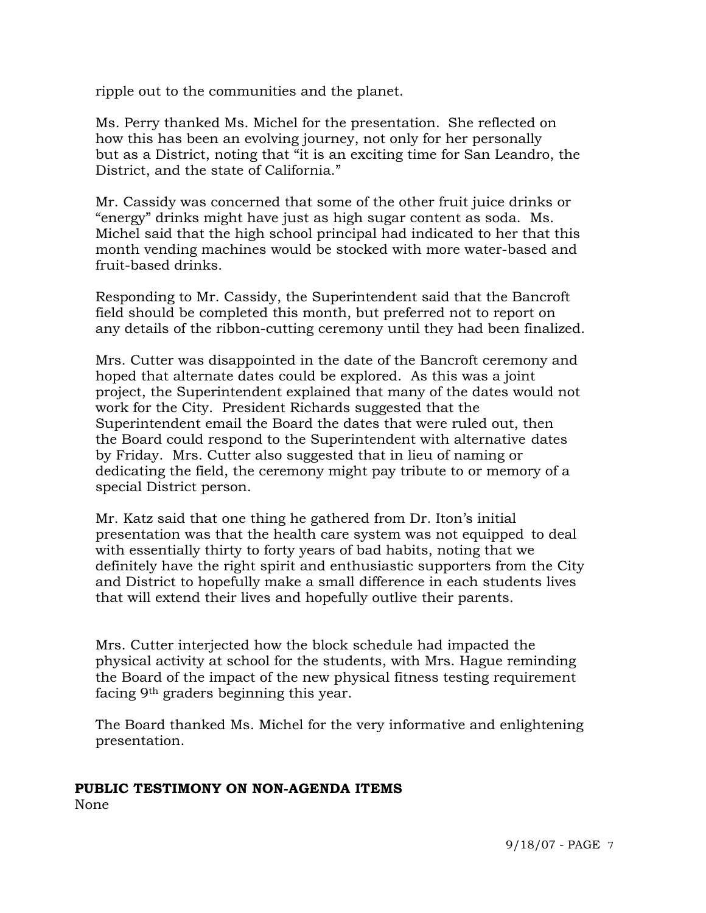ripple out to the communities and the planet.

 Ms. Perry thanked Ms. Michel for the presentation. She reflected on how this has been an evolving journey, not only for her personally but as a District, noting that "it is an exciting time for San Leandro, the District, and the state of California."

 Mr. Cassidy was concerned that some of the other fruit juice drinks or "energy" drinks might have just as high sugar content as soda. Ms. Michel said that the high school principal had indicated to her that this month vending machines would be stocked with more water-based and fruit-based drinks.

 Responding to Mr. Cassidy, the Superintendent said that the Bancroft field should be completed this month, but preferred not to report on any details of the ribbon-cutting ceremony until they had been finalized.

 Mrs. Cutter was disappointed in the date of the Bancroft ceremony and hoped that alternate dates could be explored. As this was a joint project, the Superintendent explained that many of the dates would not work for the City. President Richards suggested that the Superintendent email the Board the dates that were ruled out, then the Board could respond to the Superintendent with alternative dates by Friday. Mrs. Cutter also suggested that in lieu of naming or dedicating the field, the ceremony might pay tribute to or memory of a special District person.

 Mr. Katz said that one thing he gathered from Dr. Iton's initial presentation was that the health care system was not equipped to deal with essentially thirty to forty years of bad habits, noting that we definitely have the right spirit and enthusiastic supporters from the City and District to hopefully make a small difference in each students lives that will extend their lives and hopefully outlive their parents.

 Mrs. Cutter interjected how the block schedule had impacted the physical activity at school for the students, with Mrs. Hague reminding the Board of the impact of the new physical fitness testing requirement facing 9th graders beginning this year.

 The Board thanked Ms. Michel for the very informative and enlightening presentation.

# **PUBLIC TESTIMONY ON NON-AGENDA ITEMS**

None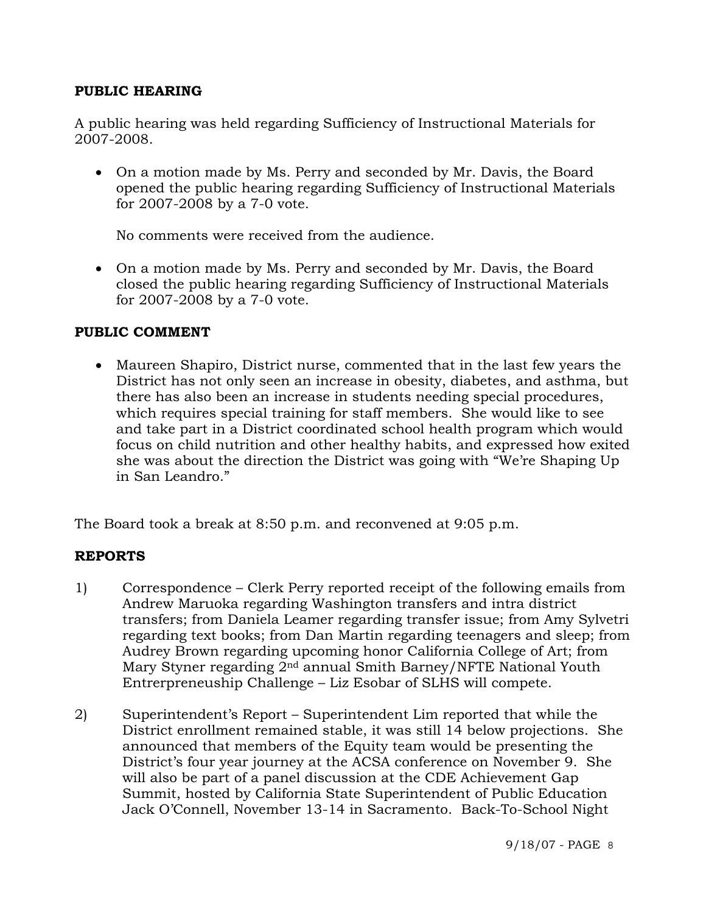# **PUBLIC HEARING**

A public hearing was held regarding Sufficiency of Instructional Materials for 2007-2008.

• On a motion made by Ms. Perry and seconded by Mr. Davis, the Board opened the public hearing regarding Sufficiency of Instructional Materials for 2007-2008 by a 7-0 vote.

No comments were received from the audience.

• On a motion made by Ms. Perry and seconded by Mr. Davis, the Board closed the public hearing regarding Sufficiency of Instructional Materials for 2007-2008 by a 7-0 vote.

# **PUBLIC COMMENT**

• Maureen Shapiro, District nurse, commented that in the last few years the District has not only seen an increase in obesity, diabetes, and asthma, but there has also been an increase in students needing special procedures, which requires special training for staff members. She would like to see and take part in a District coordinated school health program which would focus on child nutrition and other healthy habits, and expressed how exited she was about the direction the District was going with "We're Shaping Up in San Leandro."

The Board took a break at 8:50 p.m. and reconvened at 9:05 p.m.

# **REPORTS**

- 1) Correspondence Clerk Perry reported receipt of the following emails from Andrew Maruoka regarding Washington transfers and intra district transfers; from Daniela Leamer regarding transfer issue; from Amy Sylvetri regarding text books; from Dan Martin regarding teenagers and sleep; from Audrey Brown regarding upcoming honor California College of Art; from Mary Styner regarding 2nd annual Smith Barney/NFTE National Youth Entrerpreneuship Challenge – Liz Esobar of SLHS will compete.
- 2) Superintendent's Report Superintendent Lim reported that while the District enrollment remained stable, it was still 14 below projections. She announced that members of the Equity team would be presenting the District's four year journey at the ACSA conference on November 9. She will also be part of a panel discussion at the CDE Achievement Gap Summit, hosted by California State Superintendent of Public Education Jack O'Connell, November 13-14 in Sacramento. Back-To-School Night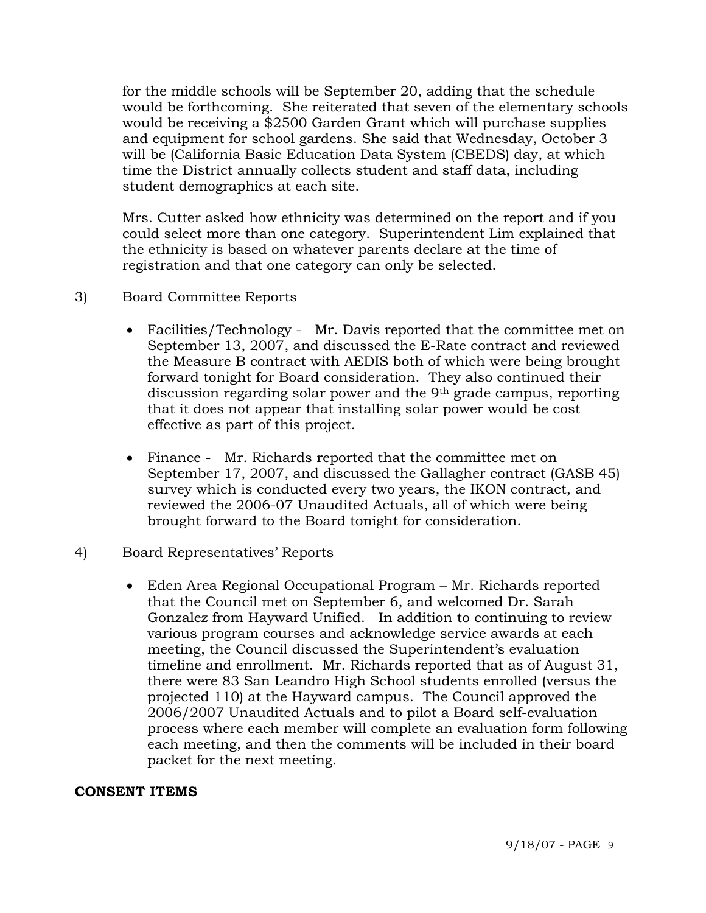for the middle schools will be September 20, adding that the schedule would be forthcoming. She reiterated that seven of the elementary schools would be receiving a \$2500 Garden Grant which will purchase supplies and equipment for school gardens. She said that Wednesday, October 3 will be (California Basic Education Data System (CBEDS) day, at which time the District annually collects student and staff data, including student demographics at each site.

Mrs. Cutter asked how ethnicity was determined on the report and if you could select more than one category. Superintendent Lim explained that the ethnicity is based on whatever parents declare at the time of registration and that one category can only be selected.

- 3) Board Committee Reports
	- Facilities/Technology Mr. Davis reported that the committee met on September 13, 2007, and discussed the E-Rate contract and reviewed the Measure B contract with AEDIS both of which were being brought forward tonight for Board consideration. They also continued their discussion regarding solar power and the 9th grade campus, reporting that it does not appear that installing solar power would be cost effective as part of this project.
	- Finance Mr. Richards reported that the committee met on September 17, 2007, and discussed the Gallagher contract (GASB 45) survey which is conducted every two years, the IKON contract, and reviewed the 2006-07 Unaudited Actuals, all of which were being brought forward to the Board tonight for consideration.
- 4) Board Representatives' Reports
	- Eden Area Regional Occupational Program Mr. Richards reported that the Council met on September 6, and welcomed Dr. Sarah Gonzalez from Hayward Unified. In addition to continuing to review various program courses and acknowledge service awards at each meeting, the Council discussed the Superintendent's evaluation timeline and enrollment. Mr. Richards reported that as of August 31, there were 83 San Leandro High School students enrolled (versus the projected 110) at the Hayward campus. The Council approved the 2006/2007 Unaudited Actuals and to pilot a Board self-evaluation process where each member will complete an evaluation form following each meeting, and then the comments will be included in their board packet for the next meeting.

#### **CONSENT ITEMS**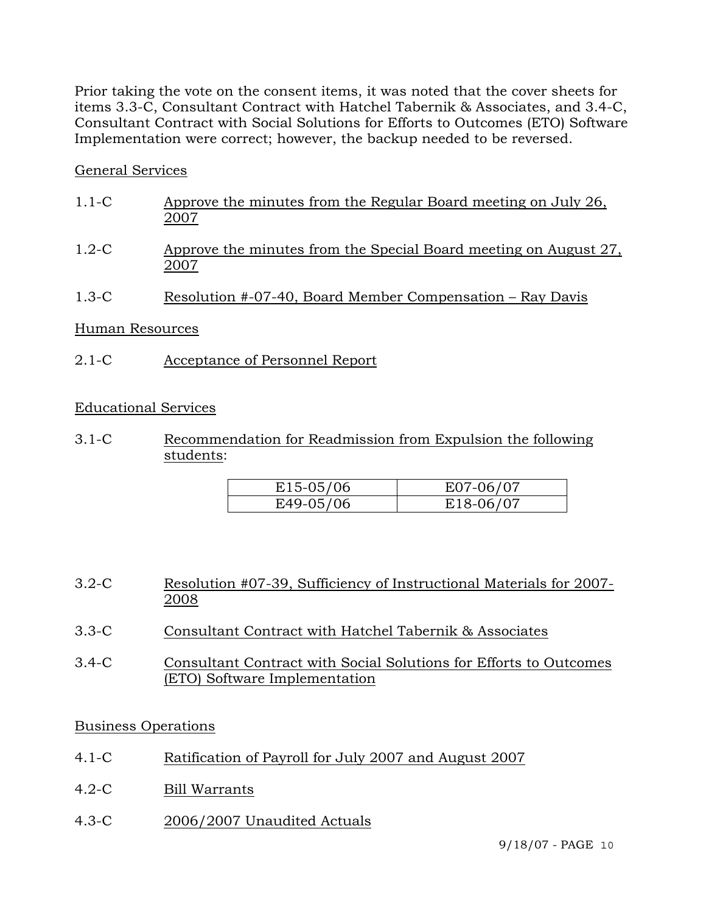Prior taking the vote on the consent items, it was noted that the cover sheets for items 3.3-C, Consultant Contract with Hatchel Tabernik & Associates, and 3.4-C, Consultant Contract with Social Solutions for Efforts to Outcomes (ETO) Software Implementation were correct; however, the backup needed to be reversed.

# General Services

| $1.1 - C$ | Approve the minutes from the Regular Board meeting on July 26,<br>2007   |
|-----------|--------------------------------------------------------------------------|
| $1.2-C$   | Approve the minutes from the Special Board meeting on August 27,<br>2007 |
| $1.3-C$   | Resolution #-07-40, Board Member Compensation – Ray Davis                |

# Human Resources

2.1-C Acceptance of Personnel Report

# Educational Services

3.1-C Recommendation for Readmission from Expulsion the following students:

| $E15-05/06$ | E07-06/07 |
|-------------|-----------|
| E49-05/06   | E18-06/07 |

- 3.2-C Resolution #07-39, Sufficiency of Instructional Materials for 2007- 2008
- 3.3-C Consultant Contract with Hatchel Tabernik & Associates
- 3.4-C Consultant Contract with Social Solutions for Efforts to Outcomes (ETO) Software Implementation

# Business Operations

- 4.1-C Ratification of Payroll for July 2007 and August 2007
- 4.2-C Bill Warrants
- 4.3-C 2006/2007 Unaudited Actuals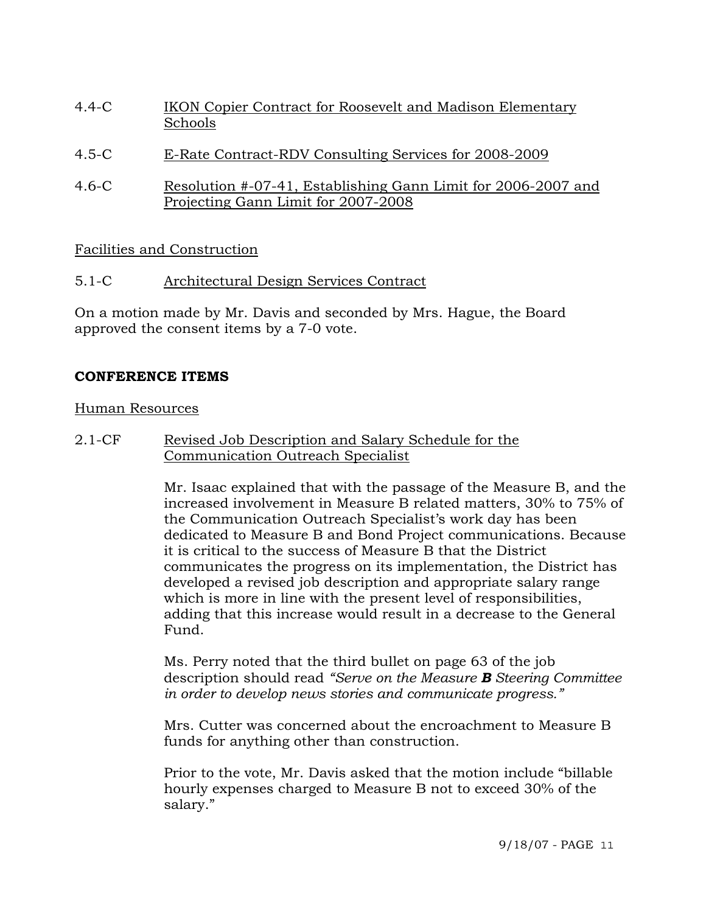- 4.4-C IKON Copier Contract for Roosevelt and Madison Elementary Schools
- 4.5-C E-Rate Contract-RDV Consulting Services for 2008-2009
- 4.6-C Resolution #-07-41, Establishing Gann Limit for 2006-2007 and Projecting Gann Limit for 2007-2008

Facilities and Construction

5.1-C Architectural Design Services Contract

On a motion made by Mr. Davis and seconded by Mrs. Hague, the Board approved the consent items by a 7-0 vote.

# **CONFERENCE ITEMS**

#### Human Resources

2.1-CF Revised Job Description and Salary Schedule for the Communication Outreach Specialist

> Mr. Isaac explained that with the passage of the Measure B, and the increased involvement in Measure B related matters, 30% to 75% of the Communication Outreach Specialist's work day has been dedicated to Measure B and Bond Project communications. Because it is critical to the success of Measure B that the District communicates the progress on its implementation, the District has developed a revised job description and appropriate salary range which is more in line with the present level of responsibilities, adding that this increase would result in a decrease to the General Fund.

> Ms. Perry noted that the third bullet on page 63 of the job description should read *"Serve on the Measure B Steering Committee in order to develop news stories and communicate progress."*

Mrs. Cutter was concerned about the encroachment to Measure B funds for anything other than construction.

Prior to the vote, Mr. Davis asked that the motion include "billable hourly expenses charged to Measure B not to exceed 30% of the salary."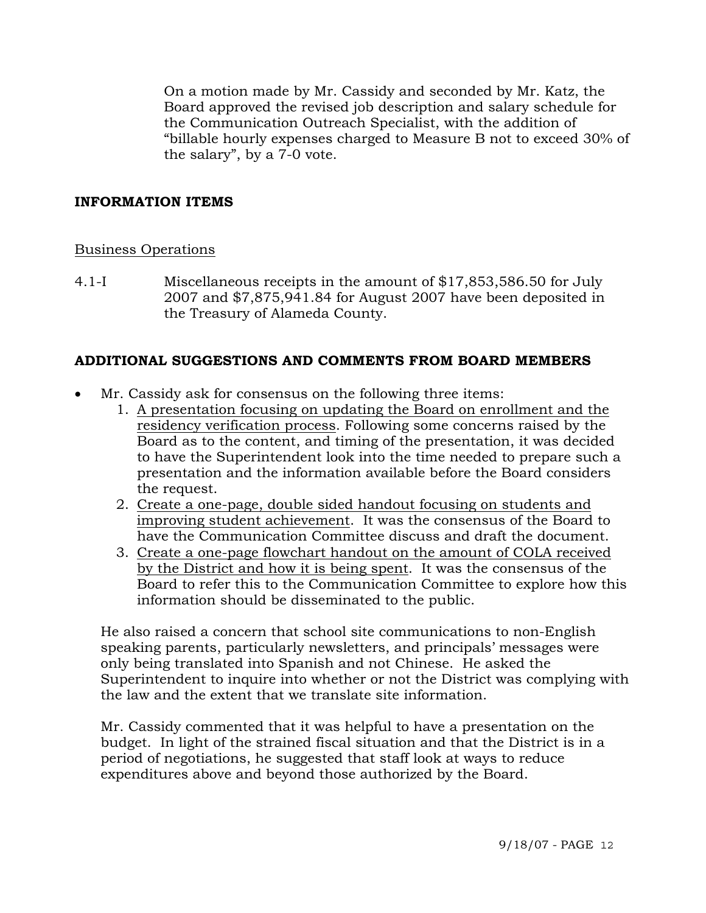On a motion made by Mr. Cassidy and seconded by Mr. Katz, the Board approved the revised job description and salary schedule for the Communication Outreach Specialist, with the addition of "billable hourly expenses charged to Measure B not to exceed 30% of the salary", by a 7-0 vote.

# **INFORMATION ITEMS**

#### Business Operations

4.1-I Miscellaneous receipts in the amount of \$17,853,586.50 for July 2007 and \$7,875,941.84 for August 2007 have been deposited in the Treasury of Alameda County.

# **ADDITIONAL SUGGESTIONS AND COMMENTS FROM BOARD MEMBERS**

- Mr. Cassidy ask for consensus on the following three items:
	- 1. A presentation focusing on updating the Board on enrollment and the residency verification process. Following some concerns raised by the Board as to the content, and timing of the presentation, it was decided to have the Superintendent look into the time needed to prepare such a presentation and the information available before the Board considers the request.
	- 2. Create a one-page, double sided handout focusing on students and improving student achievement. It was the consensus of the Board to have the Communication Committee discuss and draft the document.
	- 3. Create a one-page flowchart handout on the amount of COLA received by the District and how it is being spent. It was the consensus of the Board to refer this to the Communication Committee to explore how this information should be disseminated to the public.

 He also raised a concern that school site communications to non-English speaking parents, particularly newsletters, and principals' messages were only being translated into Spanish and not Chinese. He asked the Superintendent to inquire into whether or not the District was complying with the law and the extent that we translate site information.

 Mr. Cassidy commented that it was helpful to have a presentation on the budget. In light of the strained fiscal situation and that the District is in a period of negotiations, he suggested that staff look at ways to reduce expenditures above and beyond those authorized by the Board.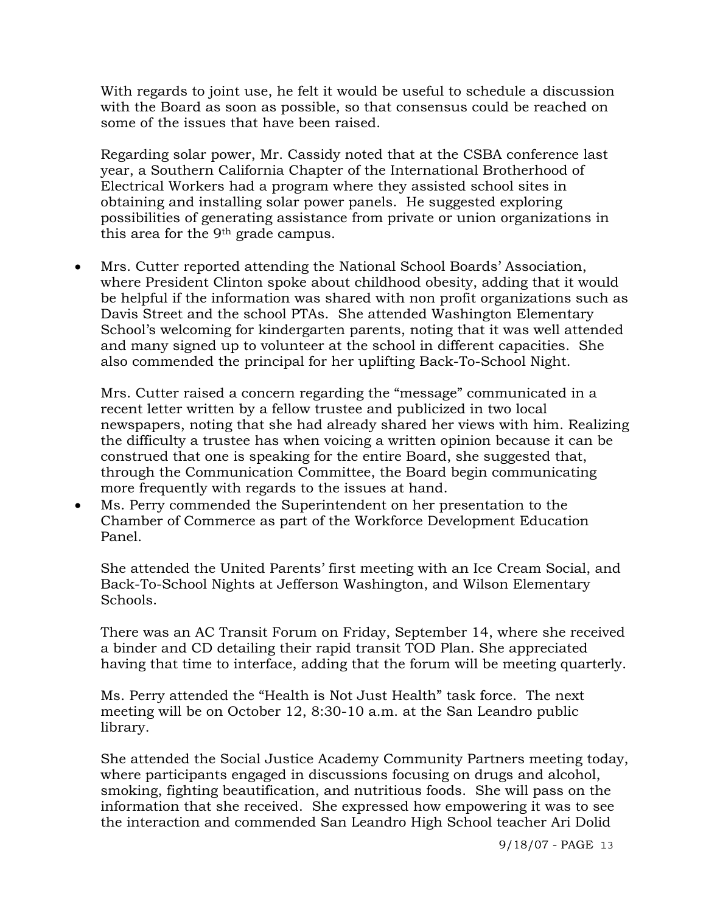With regards to joint use, he felt it would be useful to schedule a discussion with the Board as soon as possible, so that consensus could be reached on some of the issues that have been raised.

Regarding solar power, Mr. Cassidy noted that at the CSBA conference last year, a Southern California Chapter of the International Brotherhood of Electrical Workers had a program where they assisted school sites in obtaining and installing solar power panels. He suggested exploring possibilities of generating assistance from private or union organizations in this area for the 9th grade campus.

• Mrs. Cutter reported attending the National School Boards' Association, where President Clinton spoke about childhood obesity, adding that it would be helpful if the information was shared with non profit organizations such as Davis Street and the school PTAs. She attended Washington Elementary School's welcoming for kindergarten parents, noting that it was well attended and many signed up to volunteer at the school in different capacities. She also commended the principal for her uplifting Back-To-School Night.

Mrs. Cutter raised a concern regarding the "message" communicated in a recent letter written by a fellow trustee and publicized in two local newspapers, noting that she had already shared her views with him. Realizing the difficulty a trustee has when voicing a written opinion because it can be construed that one is speaking for the entire Board, she suggested that, through the Communication Committee, the Board begin communicating more frequently with regards to the issues at hand.

• Ms. Perry commended the Superintendent on her presentation to the Chamber of Commerce as part of the Workforce Development Education Panel.

She attended the United Parents' first meeting with an Ice Cream Social, and Back-To-School Nights at Jefferson Washington, and Wilson Elementary Schools.

There was an AC Transit Forum on Friday, September 14, where she received a binder and CD detailing their rapid transit TOD Plan. She appreciated having that time to interface, adding that the forum will be meeting quarterly.

Ms. Perry attended the "Health is Not Just Health" task force. The next meeting will be on October 12, 8:30-10 a.m. at the San Leandro public library.

She attended the Social Justice Academy Community Partners meeting today, where participants engaged in discussions focusing on drugs and alcohol, smoking, fighting beautification, and nutritious foods. She will pass on the information that she received. She expressed how empowering it was to see the interaction and commended San Leandro High School teacher Ari Dolid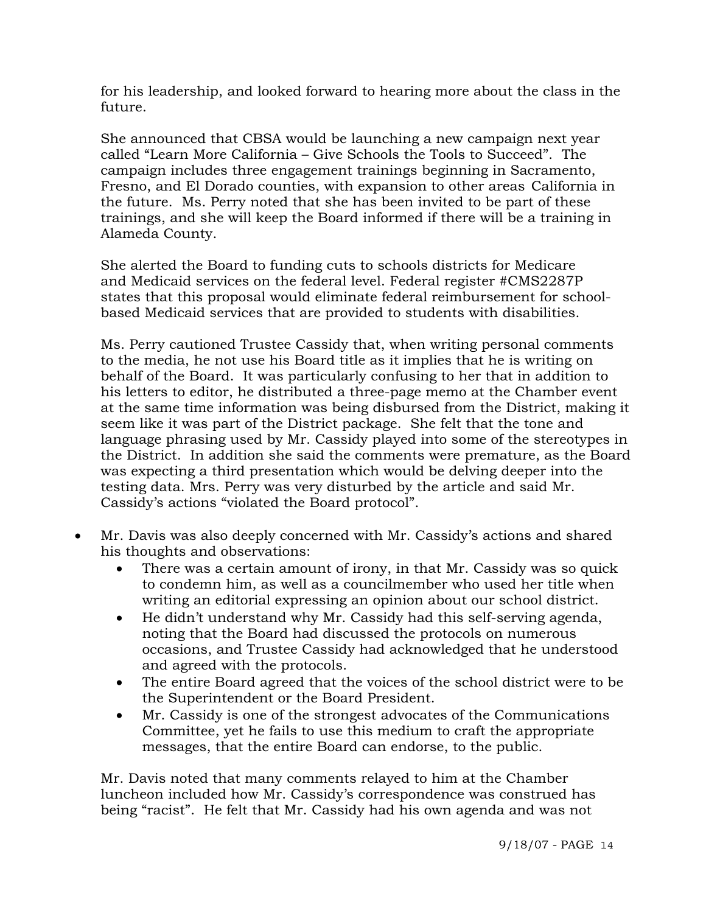for his leadership, and looked forward to hearing more about the class in the future.

She announced that CBSA would be launching a new campaign next year called "Learn More California – Give Schools the Tools to Succeed". The campaign includes three engagement trainings beginning in Sacramento, Fresno, and El Dorado counties, with expansion to other areas California in the future. Ms. Perry noted that she has been invited to be part of these trainings, and she will keep the Board informed if there will be a training in Alameda County.

 She alerted the Board to funding cuts to schools districts for Medicare and Medicaid services on the federal level. Federal register #CMS2287P states that this proposal would eliminate federal reimbursement for school based Medicaid services that are provided to students with disabilities.

Ms. Perry cautioned Trustee Cassidy that, when writing personal comments to the media, he not use his Board title as it implies that he is writing on behalf of the Board. It was particularly confusing to her that in addition to his letters to editor, he distributed a three-page memo at the Chamber event at the same time information was being disbursed from the District, making it seem like it was part of the District package. She felt that the tone and language phrasing used by Mr. Cassidy played into some of the stereotypes in the District. In addition she said the comments were premature, as the Board was expecting a third presentation which would be delving deeper into the testing data. Mrs. Perry was very disturbed by the article and said Mr. Cassidy's actions "violated the Board protocol".

- Mr. Davis was also deeply concerned with Mr. Cassidy's actions and shared his thoughts and observations:
	- There was a certain amount of irony, in that Mr. Cassidy was so quick to condemn him, as well as a councilmember who used her title when writing an editorial expressing an opinion about our school district.
	- He didn't understand why Mr. Cassidy had this self-serving agenda, noting that the Board had discussed the protocols on numerous occasions, and Trustee Cassidy had acknowledged that he understood and agreed with the protocols.
	- The entire Board agreed that the voices of the school district were to be the Superintendent or the Board President.
	- Mr. Cassidy is one of the strongest advocates of the Communications Committee, yet he fails to use this medium to craft the appropriate messages, that the entire Board can endorse, to the public.

Mr. Davis noted that many comments relayed to him at the Chamber luncheon included how Mr. Cassidy's correspondence was construed has being "racist". He felt that Mr. Cassidy had his own agenda and was not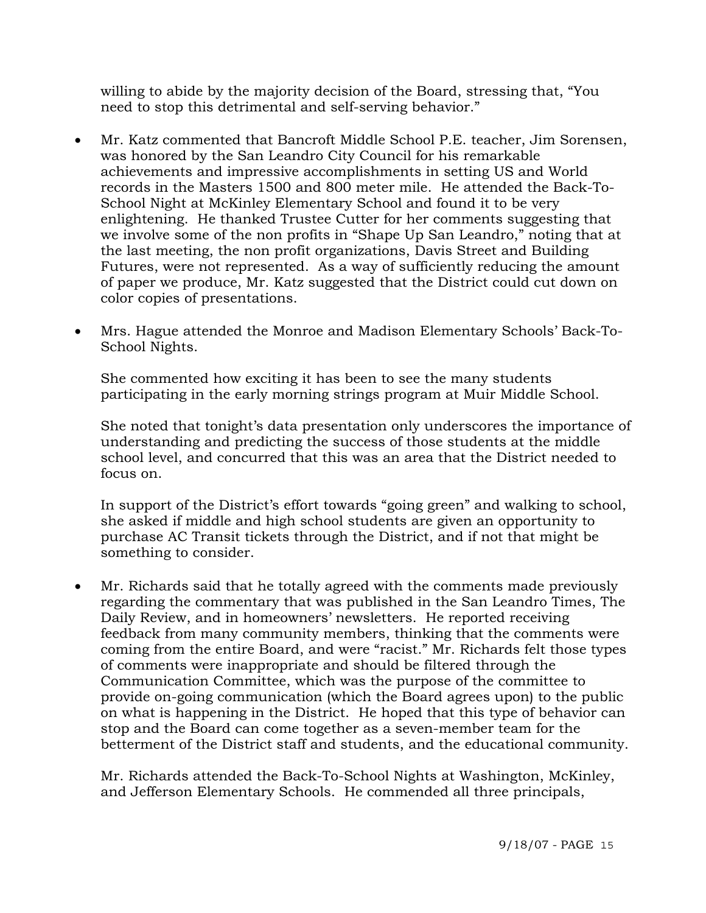willing to abide by the majority decision of the Board, stressing that, "You need to stop this detrimental and self-serving behavior."

- Mr. Katz commented that Bancroft Middle School P.E. teacher, Jim Sorensen, was honored by the San Leandro City Council for his remarkable achievements and impressive accomplishments in setting US and World records in the Masters 1500 and 800 meter mile. He attended the Back-To-School Night at McKinley Elementary School and found it to be very enlightening. He thanked Trustee Cutter for her comments suggesting that we involve some of the non profits in "Shape Up San Leandro," noting that at the last meeting, the non profit organizations, Davis Street and Building Futures, were not represented. As a way of sufficiently reducing the amount of paper we produce, Mr. Katz suggested that the District could cut down on color copies of presentations.
- Mrs. Hague attended the Monroe and Madison Elementary Schools' Back-To-School Nights.

 She commented how exciting it has been to see the many students participating in the early morning strings program at Muir Middle School.

She noted that tonight's data presentation only underscores the importance of understanding and predicting the success of those students at the middle school level, and concurred that this was an area that the District needed to focus on.

In support of the District's effort towards "going green" and walking to school, she asked if middle and high school students are given an opportunity to purchase AC Transit tickets through the District, and if not that might be something to consider.

• Mr. Richards said that he totally agreed with the comments made previously regarding the commentary that was published in the San Leandro Times, The Daily Review, and in homeowners' newsletters. He reported receiving feedback from many community members, thinking that the comments were coming from the entire Board, and were "racist." Mr. Richards felt those types of comments were inappropriate and should be filtered through the Communication Committee, which was the purpose of the committee to provide on-going communication (which the Board agrees upon) to the public on what is happening in the District. He hoped that this type of behavior can stop and the Board can come together as a seven-member team for the betterment of the District staff and students, and the educational community.

 Mr. Richards attended the Back-To-School Nights at Washington, McKinley, and Jefferson Elementary Schools. He commended all three principals,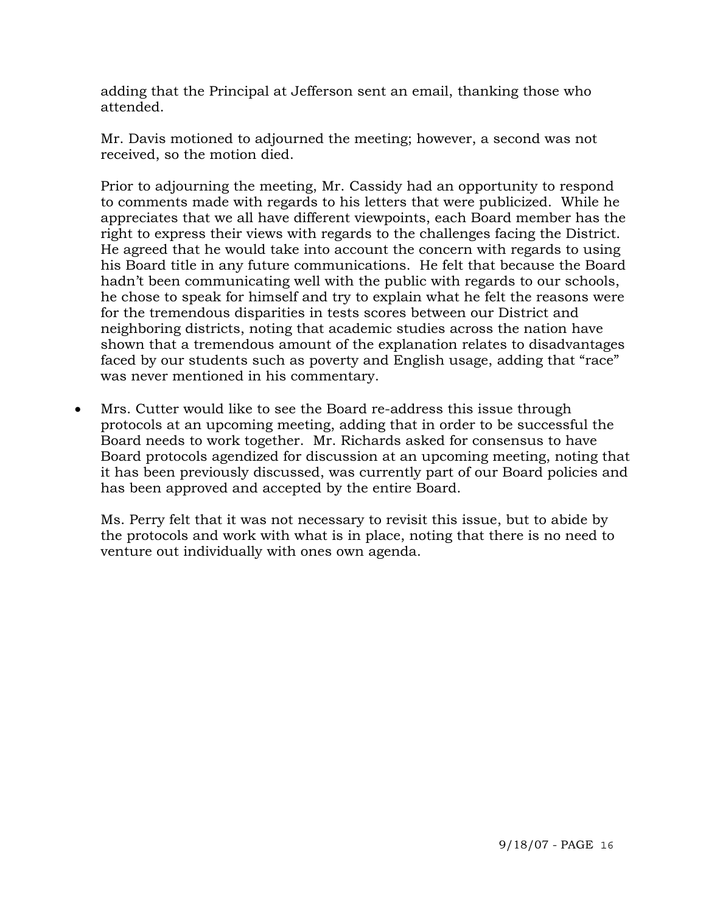adding that the Principal at Jefferson sent an email, thanking those who attended.

 Mr. Davis motioned to adjourned the meeting; however, a second was not received, so the motion died.

Prior to adjourning the meeting, Mr. Cassidy had an opportunity to respond to comments made with regards to his letters that were publicized. While he appreciates that we all have different viewpoints, each Board member has the right to express their views with regards to the challenges facing the District. He agreed that he would take into account the concern with regards to using his Board title in any future communications. He felt that because the Board hadn't been communicating well with the public with regards to our schools, he chose to speak for himself and try to explain what he felt the reasons were for the tremendous disparities in tests scores between our District and neighboring districts, noting that academic studies across the nation have shown that a tremendous amount of the explanation relates to disadvantages faced by our students such as poverty and English usage, adding that "race" was never mentioned in his commentary.

• Mrs. Cutter would like to see the Board re-address this issue through protocols at an upcoming meeting, adding that in order to be successful the Board needs to work together. Mr. Richards asked for consensus to have Board protocols agendized for discussion at an upcoming meeting, noting that it has been previously discussed, was currently part of our Board policies and has been approved and accepted by the entire Board.

Ms. Perry felt that it was not necessary to revisit this issue, but to abide by the protocols and work with what is in place, noting that there is no need to venture out individually with ones own agenda.